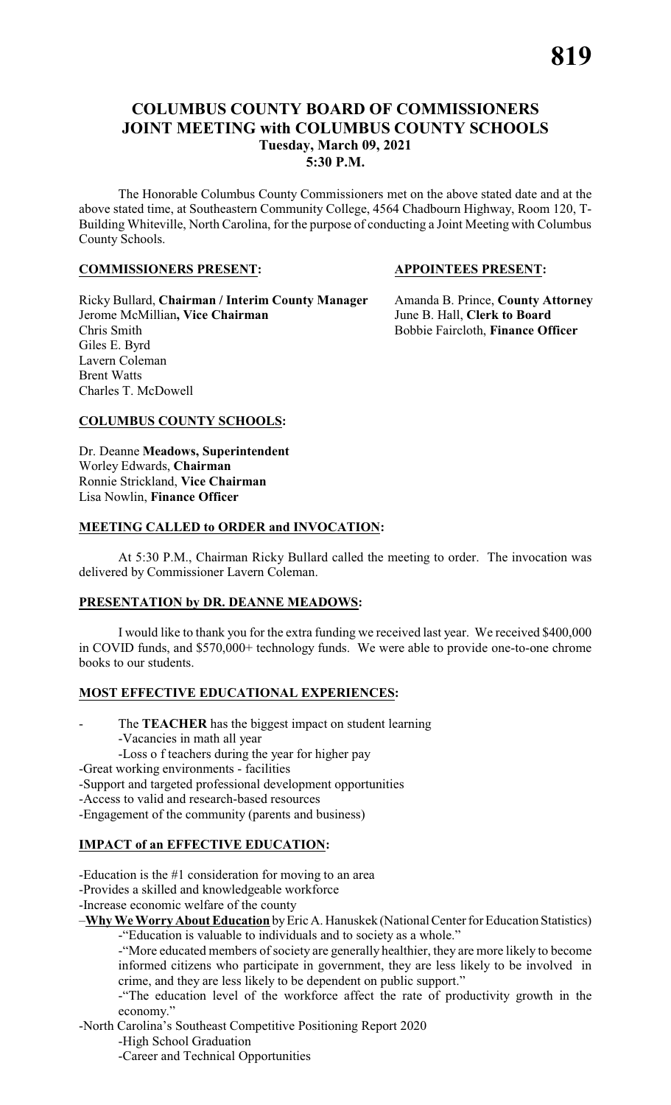# **COLUMBUS COUNTY BOARD OF COMMISSIONERS JOINT MEETING with COLUMBUS COUNTY SCHOOLS Tuesday, March 09, 2021 5:30 P.M.**

The Honorable Columbus County Commissioners met on the above stated date and at the above stated time, at Southeastern Community College, 4564 Chadbourn Highway, Room 120, T-Building Whiteville, North Carolina, for the purpose of conducting a Joint Meeting with Columbus County Schools.

#### **COMMISSIONERS PRESENT: APPOINTEES PRESENT:**

Ricky Bullard, **Chairman / Interim County Manager** Amanda B. Prince, **County Attorney** Jerome McMillian**, Vice Chairman** June B. Hall, **Clerk to Board** Chris Smith Bobbie Faircloth, **Finance Officer** Giles E. Byrd Lavern Coleman Brent Watts Charles T. McDowell

#### **COLUMBUS COUNTY SCHOOLS:**

Dr. Deanne **Meadows, Superintendent** Worley Edwards, **Chairman** Ronnie Strickland, **Vice Chairman** Lisa Nowlin, **Finance Officer**

#### **MEETING CALLED to ORDER and INVOCATION:**

At 5:30 P.M., Chairman Ricky Bullard called the meeting to order. The invocation was delivered by Commissioner Lavern Coleman.

# **PRESENTATION by DR. DEANNE MEADOWS:**

I would like to thank you for the extra funding we received last year. We received \$400,000 in COVID funds, and \$570,000+ technology funds. We were able to provide one-to-one chrome books to our students.

# **MOST EFFECTIVE EDUCATIONAL EXPERIENCES:**

- The **TEACHER** has the biggest impact on student learning
	- -Vacancies in math all year
	- -Loss o f teachers during the year for higher pay
- -Great working environments facilities
- -Support and targeted professional development opportunities
- -Access to valid and research-based resources
- -Engagement of the community (parents and business)

# **IMPACT of an EFFECTIVE EDUCATION:**

- -Education is the #1 consideration for moving to an area
- -Provides a skilled and knowledgeable workforce
- -Increase economic welfare of the county

–**Why We Worry About Education** byEric A. Hanuskek (National Center for Education Statistics) -"Education is valuable to individuals and to society as a whole."

-"More educated members of society are generally healthier, they are more likely to become informed citizens who participate in government, they are less likely to be involved in crime, and they are less likely to be dependent on public support."

-"The education level of the workforce affect the rate of productivity growth in the economy."

-North Carolina's Southeast Competitive Positioning Report 2020

-High School Graduation

-Career and Technical Opportunities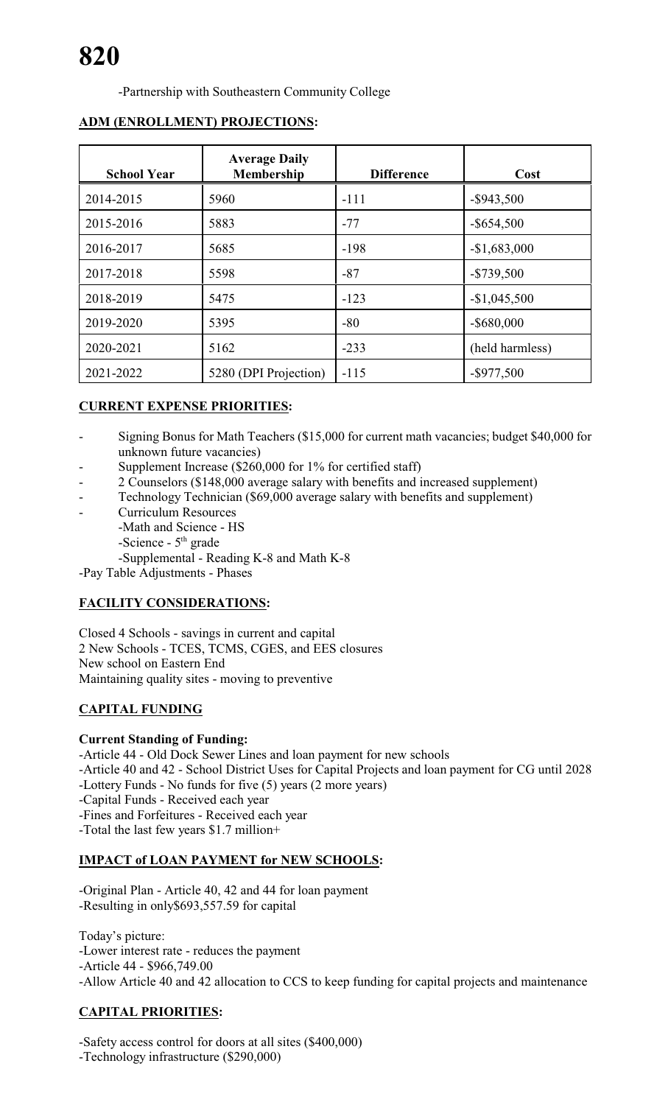-Partnership with Southeastern Community College

| <b>School Year</b> | <b>Average Daily</b><br>Membership | <b>Difference</b> | Cost            |
|--------------------|------------------------------------|-------------------|-----------------|
| 2014-2015          | 5960                               | $-111$            | $-$ \$943,500   |
| 2015-2016          | 5883                               | $-77$             | $-$ \$654,500   |
| 2016-2017          | 5685                               | $-198$            | $-$1,683,000$   |
| 2017-2018          | 5598                               | $-87$             | $-$ \$739,500   |
| 2018-2019          | 5475                               | $-123$            | $-$1,045,500$   |
| 2019-2020          | 5395                               | $-80$             | $-$ \$680,000   |
| 2020-2021          | 5162                               | $-233$            | (held harmless) |
| 2021-2022          | 5280 (DPI Projection)              | $-115$            | $-$ \$977,500   |

# **ADM (ENROLLMENT) PROJECTIONS:**

# **CURRENT EXPENSE PRIORITIES:**

- Signing Bonus for Math Teachers (\$15,000 for current math vacancies; budget \$40,000 for unknown future vacancies)
- Supplement Increase (\$260,000 for 1% for certified staff)
- 2 Counselors (\$148,000 average salary with benefits and increased supplement)
- Technology Technician (\$69,000 average salary with benefits and supplement)
- Curriculum Resources
	- -Math and Science HS
	- -Science 5<sup>th</sup> grade

-Supplemental - Reading K-8 and Math K-8

-Pay Table Adjustments - Phases

# **FACILITY CONSIDERATIONS:**

Closed 4 Schools - savings in current and capital 2 New Schools - TCES, TCMS, CGES, and EES closures New school on Eastern End Maintaining quality sites - moving to preventive

# **CAPITAL FUNDING**

# **Current Standing of Funding:**

-Article 44 - Old Dock Sewer Lines and loan payment for new schools -Article 40 and 42 - School District Uses for Capital Projects and loan payment for CG until 2028 -Lottery Funds - No funds for five (5) years (2 more years) -Capital Funds - Received each year -Fines and Forfeitures - Received each year -Total the last few years \$1.7 million+

# **IMPACT of LOAN PAYMENT for NEW SCHOOLS:**

-Original Plan - Article 40, 42 and 44 for loan payment -Resulting in only\$693,557.59 for capital

Today's picture: -Lower interest rate - reduces the payment -Article 44 - \$966,749.00 -Allow Article 40 and 42 allocation to CCS to keep funding for capital projects and maintenance

# **CAPITAL PRIORITIES:**

-Safety access control for doors at all sites (\$400,000) -Technology infrastructure (\$290,000)